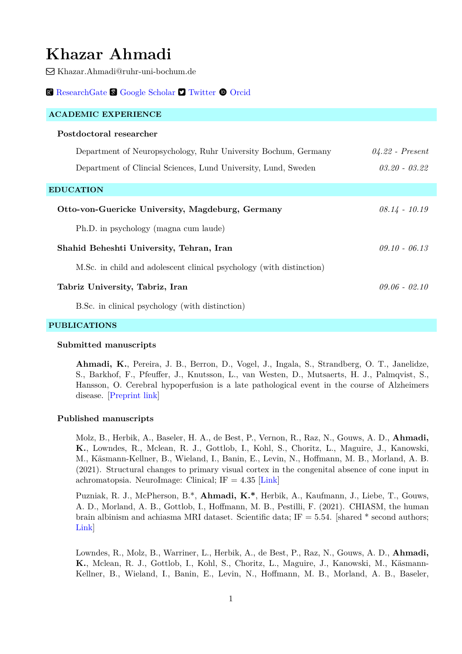# **Khazar Ahmadi**

Khazar.Ahmadi@ruhr-uni-bochum.de

#### [ResearchGate](https://www.researchgate.net/profile/Khazar_Ahmadi) & [Google Scholar](https://scholar.google.com/citations?user=7_q_FbAAAAAJ&hl=en) **D** [Twitter](https://twitter.com/khAzArAhmAdi?s=09)  $\bullet$  [Orcid](https://orcid.org/0000-0002-3371-6211)

| <b>ACADEMIC EXPERIENCE</b>                                           |                   |
|----------------------------------------------------------------------|-------------------|
| Postdoctoral researcher                                              |                   |
| Department of Neuropsychology, Ruhr University Bochum, Germany       | $04.22$ - Present |
| Department of Clincial Sciences, Lund University, Lund, Sweden       | $03.20 - 03.22$   |
| <b>EDUCATION</b>                                                     |                   |
| Otto-von-Guericke University, Magdeburg, Germany                     | $08.14 - 10.19$   |
| Ph.D. in psychology (magna cum laude)                                |                   |
| Shahid Beheshti University, Tehran, Iran                             | $0.910 - 0.613$   |
| M.Sc. in child and adolescent clinical psychology (with distinction) |                   |
| Tabriz University, Tabriz, Iran                                      | $09.06 - 02.10$   |
| B.Sc. in clinical psychology (with distinction)                      |                   |

## **PUBLICATIONS**

### **Submitted manuscripts**

**Ahmadi, K.**, Pereira, J. B., Berron, D., Vogel, J., Ingala, S., Strandberg, O. T., Janelidze, S., Barkhof, F., Pfeuffer, J., Knutsson, L., van Westen, D., Mutsaerts, H. J., Palmqvist, S., Hansson, O. Cerebral hypoperfusion is a late pathological event in the course of Alzheimers disease. [\[Preprint link\]](https://doi.org/10.1101/2021.07.02.21259911)

#### **Published manuscripts**

Molz, B., Herbik, A., Baseler, H. A., de Best, P., Vernon, R., Raz, N., Gouws, A. D., **Ahmadi, K.**, Lowndes, R., Mclean, R. J., Gottlob, I., Kohl, S., Choritz, L., Maguire, J., Kanowski, M., Käsmann-Kellner, B., Wieland, I., Banin, E., Levin, N., Hoffmann, M. B., Morland, A. B. (2021). Structural changes to primary visual cortex in the congenital absence of cone input in achromatopsia. NeuroImage: Clinical; IF  $= 4.35$  [[Link\]](https://www.sciencedirect.com/science/article/pii/S2213158221003697)

Puzniak, R. J., McPherson, B.\*, **Ahmadi, K.\***, Herbik, A., Kaufmann, J., Liebe, T., Gouws, A. D., Morland, A. B., Gottlob, I., Hoffmann, M. B., Pestilli, F. (2021). CHIASM, the human brain albinism and achiasma MRI dataset. Scientific data;  $IF = 5.54$ . [shared \* second authors; [Link](https://www.nature.com/articles/s41597-021-01080-w)]

Lowndes, R., Molz, B., Warriner, L., Herbik, A., de Best, P., Raz, N., Gouws, A. D., **Ahmadi, K.**, Mclean, R. J., Gottlob, I., Kohl, S., Choritz, L., Maguire, J., Kanowski, M., Käsmann-Kellner, B., Wieland, I., Banin, E., Levin, N., Hoffmann, M. B., Morland, A. B., Baseler,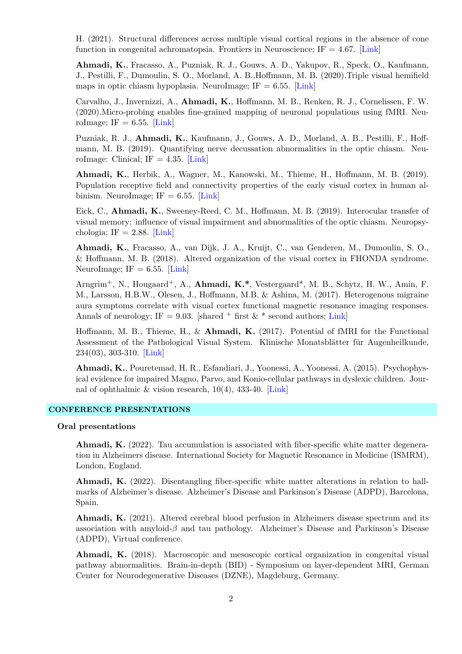H. (2021). Structural differences across multiple visual cortical regions in the absence of cone function in congenital achromatopsia. Frontiers in Neuroscience; IF =  $4.67$ . [[Link\]](https://www.frontiersin.org/articles/10.3389/fnins.2021.718958/full)

**Ahmadi, K.**, Fracasso, A., Puzniak, R. J., Gouws, A. D., Yakupov, R., Speck, O., Kaufmann, J., Pestilli, F., Dumoulin, S. O., Morland, A. B.,Hoffmann, M. B. (2020).Triple visual hemifield maps in optic chiasm hypoplasia. NeuroImage; IF  $= 6.55$ . [\[Link\]](https://doi.org/10.1016/j.neuroimage.2020.116822)

Carvalho, J., Invernizzi, A., **Ahmadi, K.**, Hoffmann, M. B., Renken, R. J., Cornelissen, F. W. (2020).Micro-probing enables fine-grained mapping of neuronal populations using fMRI. NeuroImage; IF =  $6.55$ . [[Link\]](https://doi.org/10.1016/j.neuroimage.2019.116423)

Puzniak, R. J., **Ahmadi, K.**, Kaufmann, J., Gouws, A. D., Morland, A. B., Pestilli, F., Hoffmann, M. B. (2019). Quantifying nerve decussation abnormalities in the optic chiasm. NeuroImage: Clinical; IF =  $4.35$ . [\[Link\]](https://www.sciencedirect.com/science/article/pii/S2213158219304024)

**Ahmadi, K.**, Herbik, A., Wagner, M., Kanowski, M., Thieme, H., Hoffmann, M. B. (2019). Population receptive field and connectivity properties of the early visual cortex in human albinism. NeuroImage; IF  $= 6.55$ . [[Link](https://www.sciencedirect.com/science/article/pii/S1053811919306962)]

Eick, C., **Ahmadi, K.**, Sweeney-Reed, C. M., Hoffmann, M. B. (2019). Interocular transfer of visual memory: influence of visual impairment and abnormalities of the optic chiasm. Neuropsychologia; IF  $= 2.88$ . [[Link\]](https://www.sciencedirect.com/science/article/pii/S0028393218304718)

**Ahmadi, K.**, Fracasso, A., van Dijk, J. A., Kruijt, C., van Genderen, M., Dumoulin, S. O., & Hoffmann, M. B. (2018). Altered organization of the visual cortex in FHONDA syndrome. NeuroImage; IF =  $6.55$ . [\[Link\]](https://www.sciencedirect.com/science/article/pii/S1053811918301605)

Arngrim+, N., Hougaard+, A., **Ahmadi, K.\***, Vestergaard\*, M. B., Schytz, H. W., Amin, F. M., Larsson, H.B.W., Olesen, J., Hoffmann, M.B. & Ashina, M. (2017). Heterogenous migraine aura symptoms correlate with visual cortex functional magnetic resonance imaging responses. Annals of neurology; IF = 9.03. [shared  $+$  first &  $*$  second authors; [Link\]](https://onlinelibrary.wiley.com/doi/abs/10.1002/ana.25096)

Hoffmann, M. B., Thieme, H., & **Ahmadi, K.** (2017). Potential of fMRI for the Functional Assessment of the Pathological Visual System. Klinische Monatsblätter für Augenheilkunde, 234(03), 303-310. [\[Link](https://www.thieme-connect.com/products/ejournals/abstract/10.1055/s-0043-103960)]

**Ahmadi, K.**, Pouretemad, H. R., Esfandiari, J., Yoonessi, A., Yoonessi, A. (2015). Psychophysical evidence for impaired Magno, Parvo, and Konio-cellular pathways in dyslexic children. Journal of ophthalmic & vision research, 10(4), 433-40. [[Link\]](https://www.ncbi.nlm.nih.gov/pmc/articles/PMC4795394/)

#### **CONFERENCE PRESENTATIONS**

#### **Oral presentations**

**Ahmadi, K.** (2022). Tau accumulation is associated with fiber-specific white matter degeneration in Alzheimers disease. International Society for Magnetic Resonance in Medicine (ISMRM), London, England.

**Ahmadi, K.** (2022). Disentangling fiber-specific white matter alterations in relation to hallmarks of Alzheimer's disease. Alzheimer's Disease and Parkinson's Disease (ADPD), Barcelona, Spain.

**Ahmadi, K.** (2021). Altered cerebral blood perfusion in Alzheimers disease spectrum and its association with amyloid-*β* and tau pathology. Alzheimer's Disease and Parkinson's Disease (ADPD), Virtual conference.

**Ahmadi, K.** (2018). Macroscopic and mesoscopic cortical organization in congenital visual pathway abnormalities. Brain-in-depth (BID) - Symposium on layer-dependent MRI, German Center for Neurodegenerative Diseases (DZNE), Magdeburg, Germany.